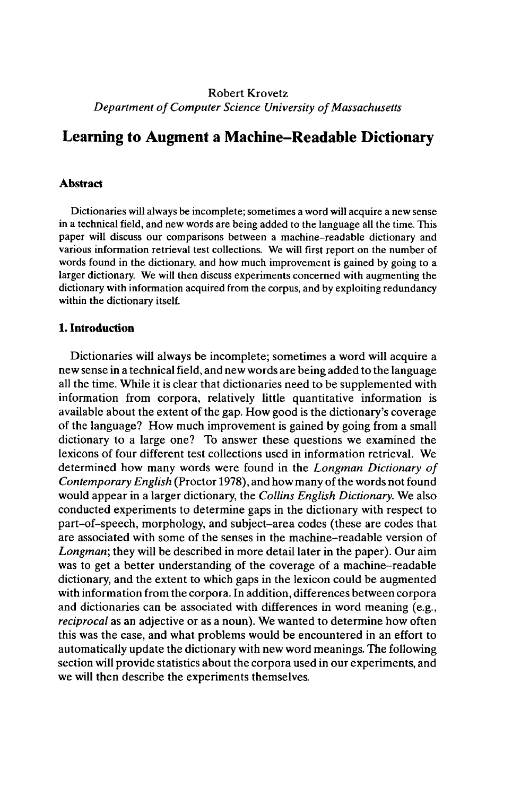# Robert Krovetz *Department of Computer Science University of Massachusetts*

# **Learning to Augment a Machine-Readable Dictionary**

# **Abstract**

Dictionaries will always be incomplete;sometimes a word will acquire a new sense in a technical field, and new words are being added to the language all the time. This paper will discuss our comparisons between a machine-readable dictionary and various information retrieval test collections. We will first report on the number of words found in the dictionary, and how much improvement is gained by going to a larger dictionary. We will then discuss experiments concerned with augmenting the dictionary with information acquired from the corpus, and by exploiting redundancy within the dictionary itself.

# **1. Introduction**

Dictionaries will always be incomplete; sometimes a word will acquire a new sense in a technical field, and new words are being added to the language all the time. While it is clear that dictionaries need to be supplemented with information from corpora, relatively little quantitative information is available about the extent of the gap. How good is the dictionary's coverage of the language? How much improvement is gained by going from a small dictionary to a large one? To answer these questions we examined the lexicons of four different test collections used in information retrieval. We determined how many words were found in the *Longman Dictionary of Contemporary English* (Proctor 1978), and how many of the words not found would appear in a larger dictionary, the *Collins English Dictionary.* We also conducted experiments to determine gaps in the dictionary with respect to part-of-speech, morphology, and subject-area codes (these are codes that are associated with some of the senses in the machine-readable version of *Longman;* they will be described in more detail later in the paper). Our aim was to get a better understanding of the coverage of a machine-readable dictionary, and the extent to which gaps in the lexicon could be augmented with information from the corpora. In addition, differences between corpora and dictionaries can be associated with differences in word meaning (e.g., *reciprocal* as an adjective or as a noun). We wanted to determine how often this was the case, and what problems would be encountered in an effort to automatically update the dictionary with new word meanings. The following section will provide statistics about the corpora used in our experiments, and we will then describe the experiments themselves.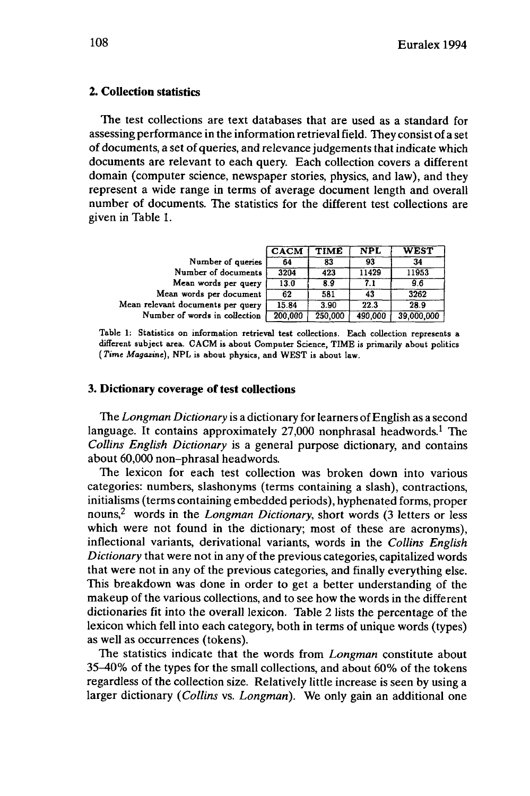# **2. Collection statistics**

The test collections are text databases that are used as a standard for assessing performance in the information retrieval field. They consist of a set of documents, a set of queries, and relevance judgements that indicate which documents are relevant to each query. Each collection covers a different domain (computer science, newspaper stories, physics, and law), and they represent a wide range in terms of average document length and overall number of documents. The statistics for the different test collections are given in Table 1.

|                                   | <b>CACM</b> | TIME    | <b>NPL</b> | <b>WEST</b> |
|-----------------------------------|-------------|---------|------------|-------------|
| Number of queries                 | 64          | 83      | 93         | 34          |
| Number of documents               | 3204        | 423     | 11429      | 11953       |
| Mean words per query              | 13.0        | 8.9     | 7.1        | 9.6         |
| Mean words per document           | 62          | 581     | 43         | 3262        |
| Mean relevant documents per query | 15.84       | 3.90    | 22.3       | 28.9        |
| Number of words in collection     | 200,000     | 250,000 | 490,000    | 39,000,000  |

**Table 1: Statistics on information retrieval test collections. Each collection represents a different subject area. CACM is about Computer Science, TIME is primarily about politics (Kme** *Magazine),* **NPL is about physics, and WEST is about law.**

# **3. Dictionary coverage of test collections**

The *Longman Dictionary* is a dictionary for learners of English as a second language. It contains approximately 27,000 nonphrasal headwords.<sup>1</sup> The *Collins English Dictionary* is a general purpose dictionary, and contains about 60,000 non-phrasal headwords.

The lexicon for each test collection was broken down into various categories: numbers, slashonyms (terms containing a slash), contractions, initialisms (terms containing embedded periods), hyphenated forms, proper nouns,<sup>2</sup> words in the *Longman Dictionary,* short words (3 letters or less which were not found in the dictionary; most of these are acronyms), inflectional variants, derivational variants, words in the *Collins English Dictionary* that were not in any of the previous categories, capitalized words that were not in any of the previous categories, and finally everything else. This breakdown was done in order to get a better understanding of the makeup of the various collections, and to see how the words in the different dictionaries fit into the overall lexicon. Table 2 lists the percentage of the lexicon which fell into each category, both in terms of unique words (types) as well as occurrences (tokens).

The statistics indicate that the words from *Longman* constitute about 35-40% of the types for the small collections, and about 60% of the tokens regardless of the collection size. Relatively little increase is seen by using a larger dictionary *(Collins* vs. *Longman).* We only gain an additional one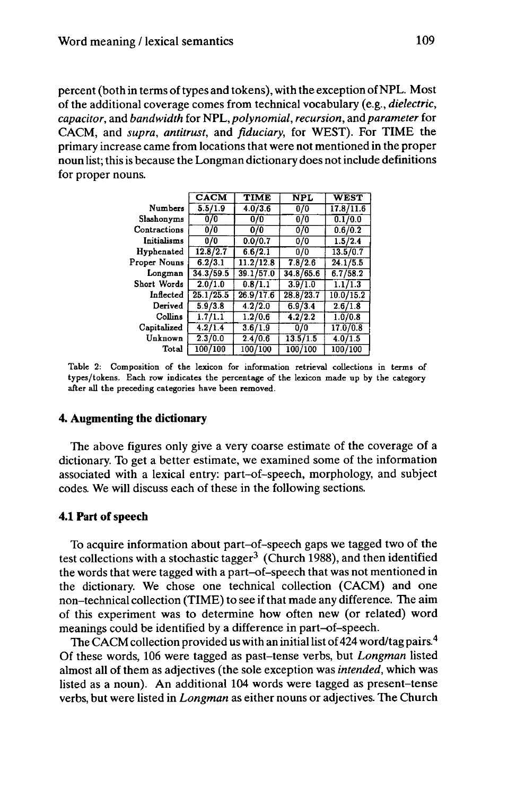percent (both in terms of types and tokens), with the exception of NPL. Most of the additional coverage comes from technical vocabulary (e.g., *dielectric, capacitor,* and *bandwidth* for NPL, *polynomial, recursion,* and *parameter* for CACM, and *supra, antitrust,* and *fiduciary,* for WEST). For TIME the primary increase came from locations that were not mentioned in the proper noun list; this is because the Longman dictionary does notinclude definitions for proper nouns.

|              | <b>CACM</b>          | <b>TIME</b> | <b>NPL</b> | <b>WEST</b> |
|--------------|----------------------|-------------|------------|-------------|
| Numbers      | 5.5/1.9              | 4.0/3.6     | 0/0        | 17.8/11.6   |
| Slashonyms   | 0/0                  | 0/0         | 0/0        | 0.1/0.0     |
| Contractions | 0/0                  | 0/0         | 0/0        | 0.6/0.2     |
| Initialisms  | 0/0                  | 0.0/0.7     | 0/0        | 1.5/2.4     |
| Hyphenated   | 12.8/2.7             | 6.6/2.1     | 0/0        | 13.5/0.7    |
| Proper Nouns | 6.2/3.1              | 11.2/12.8   | 7.8/2.6    | 24.1/5.5    |
| Longman      | 34.3/59.5            | 39.1/57.0   | 34.8/65.6  | 6.7/58.2    |
| Short Words  | 2.0/1.0              | 0.8/1.1     | 3.9/1.0    | 1.1/1.3     |
| Inflected    | 25.1/25.5            | 26.9/17.6   | 28.8/23.7  | 10.0/15.2   |
| Derived      | 5.9/3.8              | 4.2/2.0     | 6.9/3.4    | 2.6/1.8     |
| Collins      | $1.7/1.\overline{1}$ | 1.2/0.6     | 4.2/2.2    | 1.0/0.8     |
| Capitalized  | 4.2/1.4              | 3.6/1.9     | 0/0        | 17.070.8    |
| Unknown      | 2.3/0.0              | 2.4/0.6     | 13.5/1.5   | 4.0/1.5     |
| Total        | 100/100              | 100/100     | 100/100    | 100/100     |

**Table 2: Composition of the lexicon for information retrieval collections in terms of types/tokens. Each row indicates the percentage of the lexicon made up by the category after all the preceding categories have been removed.**

#### **4. Augmenting the dictionary**

The above figures only give a very coarse estimate of the coverage of a dictionary. To get a better estimate, we examined some of the information associated with a lexical entry: part-of-speech, morphology, and subject codes. We will discuss each of these in the following sections.

# **4.1 Part of speech**

To acquire information about part-of-speech gaps we tagged two of the test collections with a stochastic tagger<sup>3</sup> (Church 1988), and then identified the words that were tagged with a part-of-speech that was not mentioned in the dictionary. We chose one technical collection (CACM) and one non-technical collection (TIME) to see if that made any difference. The aim of this experiment was to determine how often new (or related) word meanings could be identified by a difference in part-of-speech.

The CACM collection provided us with an initial list of 424 word/tag pairs.<sup>4</sup> Of these words, 106 were tagged as past-tense verbs, but *Longman* listed almost all of them as adjectives (the sole exception was *intended,* which was listed as a noun). An additional 104 words were tagged as present-tense verbs, but were listed in *Longman* as either nouns or adjectives. The Church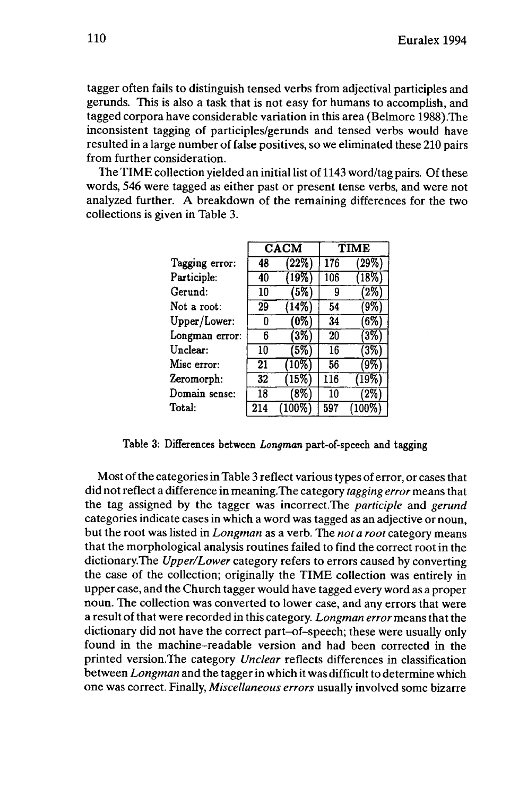tagger often fails to distinguish tensed verbs from adjectival participles and gerunds. This is also a task that is not easy for humans to accomplish, and tagged corpora have considerable variation in this area (Belmore 1988).The inconsistent tagging of participles/gerunds and tensed verbs would have resulted in a large number of false positives, so we eliminated these 210 pairs from further consideration.

The TIME collection yielded an initial list of 1143 word/tag pairs. Of these words, 546 were tagged as either past or present tense verbs, and were not analyzed further. A breakdown of the remaining differences for the two collections is given in Table 3.

|                | <b>CACM</b> |           |     | TIME     |
|----------------|-------------|-----------|-----|----------|
| Tagging error: | 48          | (22%)     | 176 | $(29\%)$ |
| Participle:    | 40          | 19%       | 106 | 18%      |
| Gerund:        | 10          | $(5\%)$   | 9   | (2%      |
| Not a root:    | 29          | (14%)     | 54  | (9%`     |
| Upper/Lower:   | 0           | (0%)      | 34  | $(6\%)$  |
| Longman error: | 6           | (3%       | 20  | (3%      |
| Unclear:       | 10          | (5%)      | 16  | (3%)     |
| Misc error:    | 21          | (10%)     | 56  | $9\%$    |
| Zeromorph:     | 32          | (15%      | 116 | 19%      |
| Domain sense:  | 18          | (8%       | 10  | $2\%$    |
| Total:         | 214         | $(100\%)$ | 597 | (100%    |

Table 3: Differences between *Longman* part-of-speech and tagging

Most of the categories in Table 3 reflect various types of error, or cases that did not reflect a difference in meaning.The category *tagging error* means that the tag assigned by the tagger was incorrect.The *participle* and *gerund* categories indicate cases in which a word was tagged as an adjective or noun, but the root was listed in *Longman* as a verb. The *not a root* category means that the morphological analysis routines failed to find the correct root in the dictionary.The *Upper/Lower* category refers to errors caused by converting the case of the collection; originally the TIME collection was entirely in upper case, and the Church tagger would have tagged every word as a proper noun. The collection was converted to lower case, and any errors that were a result of that were recorded in this category. *Longman error* means that the dictionary did not have the correct part-of-speech; these were usually only found in the machine-readable version and had been corrected in the printed version.The category *Unclear* reflects differences in classification between *Longman* and the tagger in which it was difficult to determine which one was correct. Finally, *Miscellaneous errors* usually involved some bizarre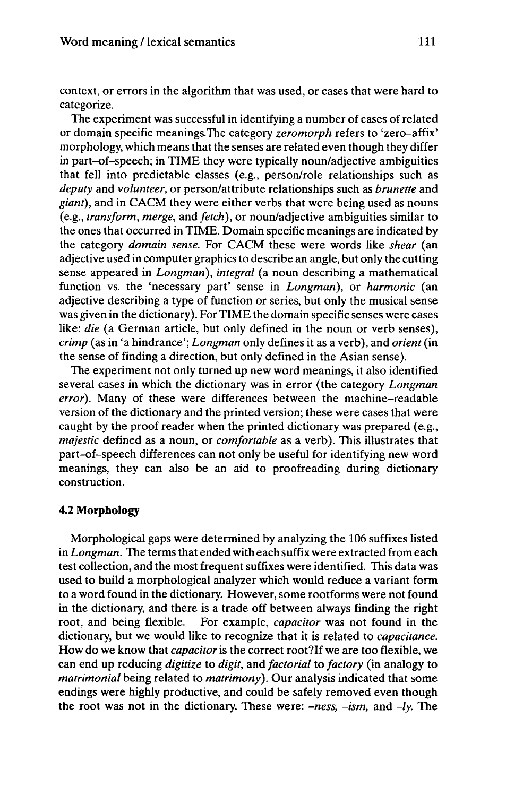context, or errors in the algorithm that was used, or cases that were hard to categorize.

The experiment was successful in identifying a number of cases of related or domain specific meanings.The category *zeromorph* refers to 'zero-affix' morphology, which means that the senses are related even though they differ in part-of-speech; in TIME they were typically noun/adjective ambiguities that fell into predictable classes (e.g., person/role relationships such as *deputy* and *volunteer,* or person/attribute relationships such as *brunette* and *giant),* and in CACM they were either verbs that were being used as nouns (e.g., *transform, merge,* and *fetch),* or noun/adjective ambiguities similar to the ones that occurred in TIME. Domain specific meanings are indicated by the category *domain sense.* For CACM these were words like *shear* (an adjective used in computer graphics to describe an angle, but only the cutting sense appeared in *Longman), integral* (a noun describing a mathematical function vs. the 'necessary part' sense in *Longman),* or *harmonic* (an adjective describing a type of function or series, but only the musical sense was given in the dictionary). For TIME the domain specific senses were cases like: *die* (a German article, but only defined in the noun or verb senses), *crimp* (as in 'a hindrance'; *Longman* only defines it as a verb), and *orient* (in the sense of finding a direction, but only defined in the Asian sense).

The experiment not only turned up new word meanings, it also identified several cases in which the dictionary was in error (the category *Longman error).* Many of these were differences between the machine-readable version of the dictionary and the printed version; these were cases that were caught by the proof reader when the printed dictionary was prepared (e.g., *majestic* defined as a noun, or *comfortable* as a verb). This illustrates that part-of-speech differences can not only be useful for identifying new word meanings, they can also be an aid to proofreading during dictionary construction.

#### **4.2 Morphology**

Morphological gaps were determined by analyzing the 106 suffixes listed in *Longman*. The terms that ended with each suffix were extracted from each test collection, and the most frequent suffixes were identified. This data was used to build a morphological analyzer which would reduce a variant form to a word found in the dictionary. However, some rootforms were not found in the dictionary, and there is a trade off between always finding the right root, and being flexible. For example, *capacitor* was not found in the dictionary, but we would like to recognize that it is related to *capacitance.* How do we know that *capacitor* is the correct root?If we are too flexible, we can end up reducing *digitize* to *digit,* and *factorial* to *factory* (in analogy to *matrimonial* being related to *matrimony).* Our analysis indicated that some endings were highly productive, and could be safely removed even though the root was not in the dictionary. These were: *-ness, -ism,* and *-ly.* The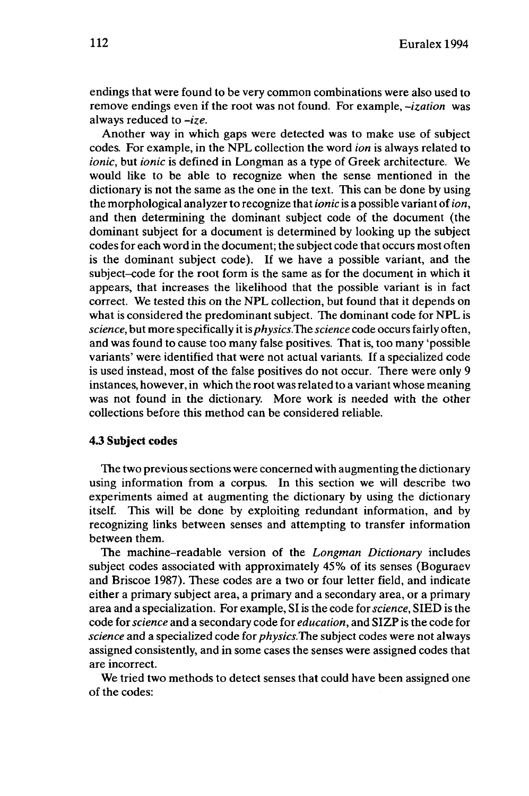endings that were found to be very common combinations were also used to remove endings even if the root was not found. For example, *-ization* was always reduced to *-ize.*

Another way in which gaps were detected was to make use of subject codes. For example, in the NPL collection the word *ion* is always related to *ionic,* but *ionic* is defined in Longman as a type of Greek architecture. We would like to be able to recognize when the sense mentioned in the dictionary is not the same as the one in the text. This can be done by using the morphological analyzerto recognize that*ionic* is a possible variant of*ion,* and then determining the dominant subject code of the document (the dominant subject for a document is determined by looking up the subject codes for each word in the document; the subject code that occurs most often is the dominant subject code). If we have a possible variant, and the subject-code for the root form is the same as for the document in which it appears, that increases the likelihood that the possible variant is in fact correct. We tested this on the NPL collection, but found that it depends on what is considered the predominant subject. The dominant code for NPL is *science*, but more specifically it is *physics*. The *science* code occurs fairly often, and was found to cause too many false positives. That is, too many 'possible variants' were identified that were not actual variants. If a specialized code is used instead, most of the false positives do not occur. There were only 9 instances, however, in which the root wasrelated to a variant whose meaning was not found in the dictionary. More work is needed with the other collections before this method can be considered reliable.

# **4.3 Subject codes**

The two previous sections were concerned with augmenting the dictionary using information from a corpus. In this section we will describe two experiments aimed at augmenting the dictionary by using the dictionary itself. This will be done by exploiting redundant information, and by recognizing links between senses and attempting to transfer information between them.

The machine-readable version of the *Longman Dictionary* includes subject codes associated with approximately 45% of its senses (Boguraev and Briscoe 1987). These codes are a two or four letter field, and indicate either a primary subject area, a primary and a secondary area, or a primary area and a specialization. For example, SI is the code for*science,* SIED is the code for*science* and a secondary code for *education,* and SIZPis the code for *science* and a specialized code for *physics.The* subject codes were not always assigned consistently, and in some cases the senses were assigned codes that are incorrect.

We tried two methods to detect senses that could have been assigned one of the codes: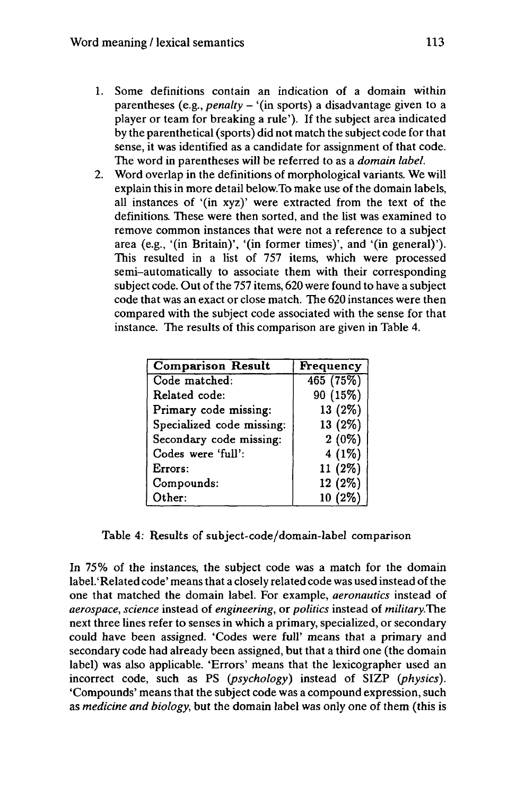- 1. Some definitions contain an indication of a domain within parentheses (e.g., *penalty* - '(in sports) <sup>a</sup> disadvantage given to <sup>a</sup> player or team for breaking a rule'). If the subject area indicated by the parenthetical (sports) did not match the subject code for that sense, it was identified as a candidate for assignment of that code. The word in parentheses will be referred to as a *domain label.*
- *2.* Word overlap in the definitions of morphological variants. We will explain this in more detail below. To make use of the domain labels, all instances of '(in xyz)' were extracted from the text of the definitions. These were then sorted, and the list was examined to remove common instances that were not a reference to a subject area (e.g., '(in Britain)', '(in former times)', and '(in general)'). This resulted in a list of 757 items, which were processed semi-automatically to associate them with their corresponding subject code. Out of the 757 items, 620 were found to have a subject code that was an exact or close match. The 620 instances were then compared with the subject code associated with the sense for that instance. The results of this comparison are given in Table 4.

| <b>Comparison Result</b>  | Frequency |
|---------------------------|-----------|
| Code matched:             | 465(75%)  |
| Related code:             | 90 (15%)  |
| Primary code missing:     | 13 (2%)   |
| Specialized code missing: | 13 (2%)   |
| Secondary code missing:   | $2(0\%)$  |
| Codes were 'full':        | $4(1\%)$  |
| Errors:                   | $11(2\%)$ |
| Compounds:                | $12(2\%)$ |
| Other:                    | $10(2\%)$ |

Table 4: Results of subject-code/domain-label comparison

In 75% of the instances, the subject code was a match for the domain label.'Related code' means that a closely related code was used instead of the one that matched the domain label. For example, *aeronautics* instead of *aerospace, science* instead of *engineering,* or *politics* instead of *militaryThe.* next three lines refer to senses in which a primary, specialized, or secondary could have been assigned. 'Codes were full' means that a primary and secondary code had already been assigned, but that a third one (the domain label) was also applicable. 'Errors' means that the lexicographer used an incorrect code, such as PS *(psychology)* instead of SIZP *{physics).* 'Compounds' means that the subject code was a compound expression, such as *medicine and biology,* but the domain label was only one of them (this is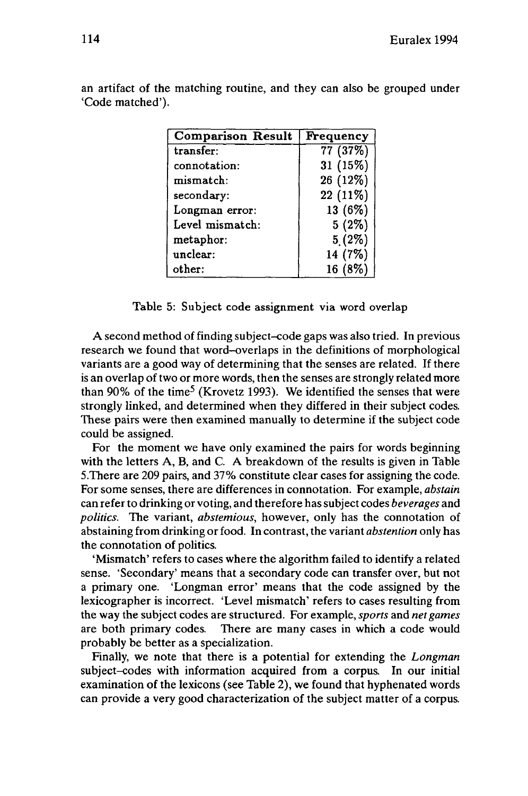| <b>Comparison Result</b> | <b>Frequency</b> |
|--------------------------|------------------|
| transfer:                | 77(37%)          |
| connotation:             | 31 (15%)         |
| mismatch:                | 26 (12%)         |
| secondary:               | 22 (11%)         |
| Longman error:           | 13 (6%)          |
| Level mismatch:          | $5(2\%)$         |
| metaphor:                | $5(2\%)$         |
| unclear:                 | 14 (7%)          |
| other:                   | 16 (8%)          |

an artifact of the matching routine, and they can also be grouped under 'Code matched').

# Table 5: Subject code assignment via word overlap

A second method of finding subject-code gaps was also tried. In previous research we found that word-overlaps in the definitions of morphological variants are a good way of determining that the senses are related. If there is an overlap of two or more words, then the senses are strongly related more than 90% of the time<sup>5</sup> (Krovetz 1993). We identified the senses that were strongly linked, and determined when they differed in their subject codes. These pairs were then examined manually to determine if the subject code could be assigned.

For the moment we have only examined the pairs for words beginning with the letters A, B, and C. A breakdown of the results is given in Table 5.There are 209 pairs, and 37% constitute clear cases for assigning the code. For some senses, there are differences in connotation. For example, *abstain* can refer to drinking or voting, and therefore hassubject codes *beverages* and *politics.* The variant, *abstemious,* however, only has the connotation of abstaining from drinking or food. In contrast, the variant *abstention* only has the connotation of politics.

'Mismatch' refers to cases where the algorithm failed to identify a related sense. 'Secondary' means that a secondary code can transfer over, but not a primary one. 'Longman error' means that the code assigned by the lexicographer is incorrect. 'Level mismatch' refers to cases resulting from the way the subject codes are structured. For example, *sports* and *net games* are both primary codes. There are many cases in which a code would probably be better as a specialization.

Finally, we note that there is a potential for extending the *Longman* subject-codes with information acquired from a corpus. In our initial examination of the lexicons (see Table 2), we found that hyphenated words can provide a very good characterization of the subject matter of a corpus.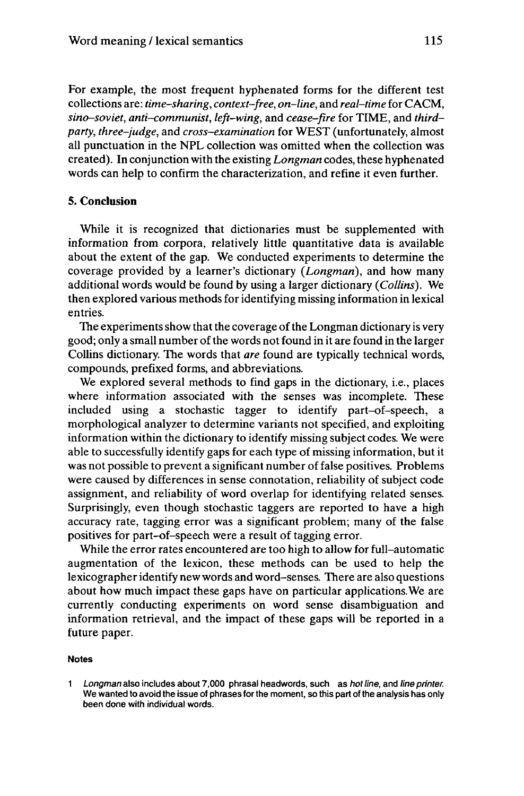For example, the most frequent hyphenated forms for the different test collections are: *time-sharing, context-free, on-line,* and *real-time* for CACM, *sino-soviet, anti-communist, left-wing,* and *cease-fire* for TIME, and *thirdparty, three-judge,* and *cross-examination* for WEST (unfortunately, almost all punctuation in the NPL collection was omitted when the collection was created). In conjunction with the existing *Longman* codes, these hyphenated words can help to confirm the characterization, and refine it even further.

# **5. Conclusion**

While it is recognized that dictionaries must be supplemented with information from corpora, relatively little quantitative data is available about the extent of the gap. We conducted experiments to determine the coverage provided by a learner's dictionary *(Longman),* and how many additional words would be found by using a larger dictionary *(Collins).* We then explored various methods for identifying missing information in lexical entries.

The experiments show that the coverage of the Longman dictionary is very good; only a small number of the words not found in it are found in the larger Collins dictionary. The words that *are* found are typically technical words, compounds, prefixed forms, and abbreviations.

We explored several methods to find gaps in the dictionary, i.e., places where information associated with the senses was incomplete. These included using a stochastic tagger to identify part-of-speech, a morphological analyzer to determine variants not specified, and exploiting information within the dictionary to identify missing subject codes. We were able to successfully identify gaps for each type of missing information, but it was not possible to prevent a significant number of false positives. Problems were caused by differences in sense connotation, reliability of subject code assignment, and reliability of word overlap for identifying related senses. Surprisingly, even though stochastic taggers are reported to have a high accuracy rate, tagging error was a significant problem; many of the false positives for part-of-speech were a result of tagging error.

While the error rates encountered are too high to allow for full-automatic augmentation of the lexicon, these methods can be used to help the lexicographer identify new words and word-senses. There are also questions about how much impact these gaps have on particular applications.We are currently conducting experiments on word sense disambiguation and information retrieval, and the impact of these gaps will be reported in a future paper.

#### **Notes**

<sup>1</sup> Longman also includes about 7,000 phrasal headwords, such as hot line, and line printer. We wanted to avoid the issue of phrases for the moment, so this part of the analysis has only been done with individual words.